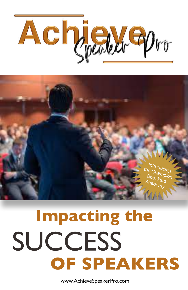



# **Impacting the SUCCESS OF SPEAKERS**

www.AchieveSpeakerPro.com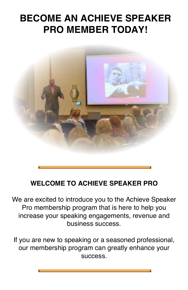## **BECOME AN ACHIEVE SPEAKER PRO MEMBER TODAY!**



### **WELCOME TO ACHIEVE SPEAKER PRO**

We are excited to introduce you to the Achieve Speaker Pro membership program that is here to help you increase your speaking engagements, revenue and business success.

If you are new to speaking or a seasoned professional, our membership program can greatly enhance your success.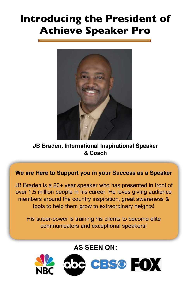# **Introducing the President of Achieve Speaker Pro**



**JB Braden, International Inspirational Speaker & Coach**

**We are Here to Support you in your Success as a Speaker**

JB Braden is a 20+ year speaker who has presented in front of over 1.5 million people in his career. He loves giving audience members around the country inspiration, great awareness & tools to help them grow to extraordinary heights!

His super-power is training his clients to become elite communicators and exceptional speakers!

**AS SEEN ON:**

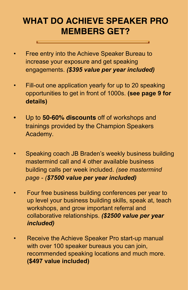### **WHAT DO ACHIEVE SPEAKER PRO MEMBERS GET?**

- Free entry into the Achieve Speaker Bureau to increase your exposure and get speaking engagements. *(\$395 value per year included)*
- Fill-out one application yearly for up to 20 speaking opportunities to get in front of 1000s. **(see page 9 for details)**
- **•** Up to **50-60% discounts** off of workshops and trainings provided by the Champion Speakers Academy.
- Speaking coach JB Braden's weekly business building mastermind call and 4 other available business building calls per week included. *(see mastermind page - (\$7500 value per year included)*
- Four free business building conferences per year to up level your business building skills, speak at, teach workshops, and grow important referral and collaborative relationships. *(\$2500 value per year included)*
- Receive the Achieve Speaker Pro start-up manual with over 100 speaker bureaus you can join, recommended speaking locations and much more. **(\$497 value included)**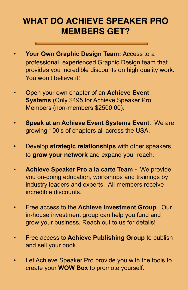### **WHAT DO ACHIEVE SPEAKER PRO MEMBERS GET?**

- **Your Own Graphic Design Team:** Access to a professional, experienced Graphic Design team that provides you incredible discounts on high quality work. You won't believe it!
- Open your own chapter of an **Achieve Event Systems** (Only \$495 for Achieve Speaker Pro Members (non-members \$2500.00).
- **Speak at an Achieve Event Systems Event.** We are growing 100's of chapters all across the USA.
- Develop **strategic relationships** with other speakers to **grow your network** and expand your reach.
- **Achieve Speaker Pro a la carte Team -** We provide you on-going education, workshops and trainings by industry leaders and experts. All members receive incredible discounts.
- Free access to the **Achieve Investment Group**. Our in-house investment group can help you fund and grow your business. Reach out to us for details!
- Free access to **Achieve Publishing Group** to publish and sell your book.
- Let Achieve Speaker Pro provide you with the tools to create your **WOW Box** to promote yourself.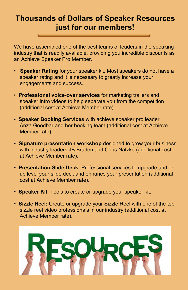### **Thousands of Dollars of Speaker Resources just for our members!**

We have assembled one of the best teams of leaders in the speaking industry that is readily available, providing you incredible discounts as an Achieve Speaker Pro Member.

- **Speaker Rating** for your speaker kit. Most speakers do not have a speaker rating and it is necessary to greatly increase your engagements and success.
- **Professional voice-over services** for marketing trailers and speaker intro videos to help separate you from the competition (additional cost at Achieve Member rate).
- **Speaker Booking Services** with achieve speaker pro leader Anza Goodbar and her booking team (additional cost at Achieve Member rate).
- **Signature presentation workshop** designed to grow your business with industry leaders JB Braden and Chris Natzke (additional cost at Achieve Member rate).
- **Presentation Slide Deck:** Professional services to upgrade and or up level your slide deck and enhance your presentation (additional cost at Achieve Member rate).
- **Speaker Kit**: Tools to create or upgrade your speaker kit.
- **Sizzle Reel:** Create or upgrade your Sizzle Reel with one of the top sizzle reel video professionals in our industry (additional cost at Achieve Member rate).

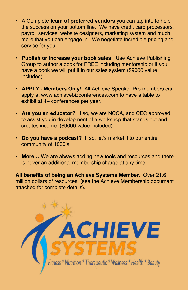- A Complete **team of preferred vendors** you can tap into to help the success on your bottom line. We have credit card processors, payroll services, website designers, marketing system and much more that you can engage in. We negotiate incredible pricing and service for you.
- **Publish or increase your book sales:** Use Achieve Publishing Group to author a book for FREE including mentorship or if you have a book we will put it in our sales system (\$9000 value included).
- **APPLY Members Only!** All Achieve Speaker Pro members can apply at www.achievebizconferences.com to have a table to exhibit at 4+ conferences per year.
- **Are you an educator?** If so, we are NCCA, and CEC approved to assist you in development of a workshop that stands out and creates income. (\$9000 value included)
- **Do you have a podcast?** If so, let's market it to our entire community of 1000's.
- **More…** We are always adding new tools and resources and there is never an additional membership charge at any time.

**All benefits of being an Achieve Systems Member.** Over 21.6 million dollars of resources. (see the Achieve Membership document attached for complete details).

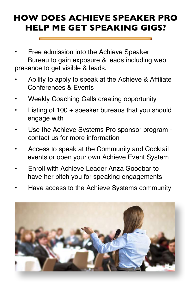### **HOW DOES ACHIEVE SPEAKER PRO HELP ME GET SPEAKING GIGS?**

- Free admission into the Achieve Speaker Bureau to gain exposure & leads including web presence to get visible & leads.
- Ability to apply to speak at the Achieve & Affiliate Conferences & Events
- Weekly Coaching Calls creating opportunity
- Listing of  $100 +$  speaker bureaus that you should engage with
- Use the Achieve Systems Pro sponsor program contact us for more information
- Access to speak at the Community and Cocktail events or open your own Achieve Event System
- Enroll with Achieve Leader Anza Goodbar to have her pitch you for speaking engagements
- Have access to the Achieve Systems community

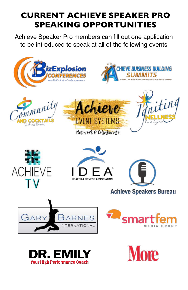### **CURRENT ACHIEVE SPEAKER PRO SPEAKING OPPORTUNITIES**

Achieve Speaker Pro members can fill out one application to be introduced to speak at all of the following events

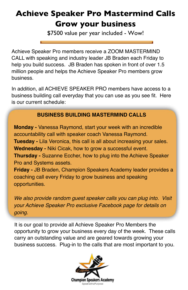### **Achieve Speaker Pro Mastermind Calls Grow your business**

\$7500 value per year included - Wow!

Achieve Speaker Pro members receive a ZOOM MASTERMIND CALL with speaking and industry leader JB Braden each Friday to help you build success. JB Braden has spoken in front of over 1.5 million people and helps the Achieve Speaker Pro members grow business.

In addition, all ACHIEVE SPEAKER PRO members have access to a business building call everyday that you can use as you see fit. Here is our current schedule:

#### **BUSINESS BUILDING MASTERMIND CALLS**

**Monday -** Vanessa Raymond, start your week with an incredible accountability call with speaker coach Vanessa Raymond. **Tuesday -** Lila Veronica, this call is all about increasing your sales. **Wednesday -** Niki Cicak, how to grow a successful event. **Thursday -** Suzanne Eccher, how to plug into the Achieve Speaker Pro and Systems assets. **Friday -** JB Braden, Champion Speakers Academy leader provides a coaching call every Friday to grow business and speaking opportunities.

*We also provide random guest speaker calls you can plug into. Visit your Achieve Speaker Pro exclusive Facebook page for details on going.*

It is our goal to provide all Achieve Speaker Pro Members the opportunity to grow your business every day of the week. These calls carry an outstanding value and are geared towards growing your business success. Plug-in to the calls that are most important to you.

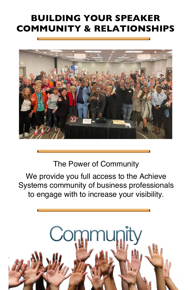### **BUILDING YOUR SPEAKER COMMUNITY & RELATIONSHIPS**



The Power of Community

We provide you full access to the Achieve Systems community of business professionals to engage with to increase your visibility.

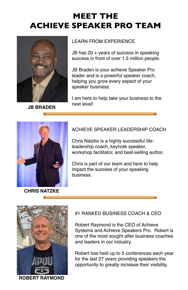

**JB BRADEN**

#### LEARN FROM EXPERIENCE

JB has 20 + years of success in speaking success in front of over 1.5 million people.

JB Braden is your achieve Speaker Pro leader and is a powerful speaker coach, helping you grow every aspect of your speaker business.

I am here to help take your business to the next level!



**CHRIS NATZKE**

#### ACHIEVE SPEAKER LEADERSHIP COACH

Chris Natzke is a highly successful lifeleadership coach, keynote speaker, workshop facilitator, and best-selling author.

Chris is part of our team and here to help impact the success of your speaking business.



**ROBERT RAYMOND**

#### #1 RANKED BUSINESS COACH & CEO

Robert Raymond is the CEO of Achieve Systems and Achieve Speakers Pro. Robert is one of the most sought after business coaches and leaders in our industry.

Robert has held up to 5 conferences each year for the last 27 years providing speakers the opportunity to greatly increase their visibility.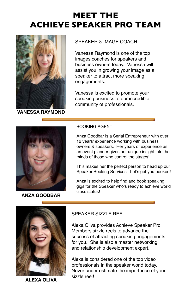

**VANESSA RAYMOND**

#### SPEAKER & IMAGE COACH

Vanessa Raymond is one of the top images coaches for speakers and business owners today. Vanessa will assist you in growing your image as a speaker to attract more speaking engagements.

Vanessa is excited to promote your speaking business to our incredible community of professionals.



**ANZA GOODBAR**

#### BOOKING AGENT

Anza Goodbar is a Serial Entrepreneur with over 12 years' experience working with business owners & speakers. Her years of experience as an event planner gives her unique insight into the minds of those who control the stages!

This makes her the perfect person to head up our Speaker Booking Services. Let's get you booked!

Anza is excited to help find and book speaking gigs for the Speaker who's ready to achieve world class status!



**ALEXA OLIVA**

#### SPEAKER SIZZLE REEL

Alexa Oliva provides Achieve Speaker Pro Members sizzle reels to advance the success of attracting speaking engagements for you. She is also a master networking and relationship development expert.

Alexa is considered one of the top video professionals in the speaker world today. Never under estimate the importance of your sizzle reel!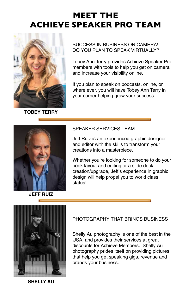

**TOBEY TERRY**

#### SUCCESS IN BUSINESS ON CAMERA! DO YOU PLAN TO SPEAK VIRTUALLY?

Tobey Ann Terry provides Achieve Speaker Pro members with tools to help you get on camera and increase your visibility online.

If you plan to speak on podcasts, online, or where ever, you will have Tobey Ann Terry in your corner helping grow your success.



#### SPEAKER SERVICES TEAM

Jeff Ruiz is an experienced graphic designer and editor with the skills to transform your creations into a masterpiece.

Whether you're looking for someone to do your book layout and editing or a slide deck creation/upgrade, Jeff's experience in graphic design will help propel you to world class status!

#### **JEFF RUIZ**



PHOTOGRAPHY THAT BRINGS BUSINESS

Shelly Au photography is one of the best in the USA, and provides their services at great discounts for Achieve Members. Shelly Au photography prides itself on providing pictures that help you get speaking gigs, revenue and brands your business.

**SHELLY AU**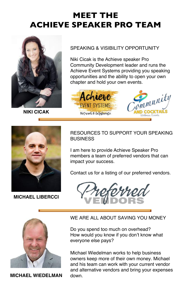

**NIKI CICAK**

#### SPEAKING & VISIBILITY OPPORTUNITY

Niki Cicak is the Achieve speaker Pro Community Development leader and runs the Achieve Event Systems providing you speaking opportunities and the ability to open your own chapter and hold your own events.





**MICHAEL LIBERCCI**

RESOURCES TO SUPPORT YOUR SPEAKING **BUSINESS** 

I am here to provide Achieve Speaker Pro members a team of preferred vendors that can impact your success.

Contact us for a listing of our preferred vendors.





**MICHAEL WIEDELMAN** down

#### WE ARE ALL ABOUT SAVING YOU MONEY

Do you spend too much on overhead? How would you know if you don't know what everyone else pays?

Michael Wiedelman works to help business owners keep more of their own money. Michael and his team can work with your current vendor and alternative vendors and bring your expenses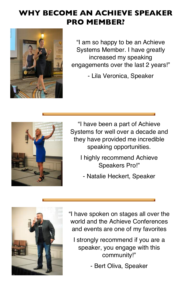### **WHY BECOME AN ACHIEVE SPEAKER PRO MEMBER?**



"I am so happy to be an Achieve Systems Member. I have greatly increased my speaking engagements over the last 2 years!"

- Lila Veronica, Speaker



"I have been a part of Achieve Systems for well over a decade and they have provided me incredible speaking opportunities.

- I highly recommend Achieve Speakers Pro!"
	- Natalie Heckert, Speaker



"I have spoken on stages all over the world and the Achieve Conferences and events are one of my favorites

I strongly recommend if you are a speaker, you engage with this community!"

- Bert Oliva, Speaker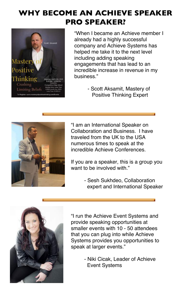### **WHY BECOME AN ACHIEVE SPEAKER PRO SPEAKER?**



"When I became an Achieve member I already had a highly successful company and Achieve Systems has helped me take it to the next level including adding speaking engagements that has lead to an incredible increase in revenue in my business."

> - Scott Aksamit, Mastery of Positive Thinking Expert



"I am an International Speaker on Collaboration and Business. I have traveled from the UK to the USA numerous times to speak at the incredible Achieve Conferences.

If you are a speaker, this is a group you want to be involved with."

> - Sesh Sukhdeo, Collaboration expert and International Speaker



"I run the Achieve Event Systems and provide speaking opportunities at smaller events with 10 - 50 attendees that you can plug into while Achieve Systems provides you opportunities to speak at larger events."

> - Niki Cicak, Leader of Achieve Event Systems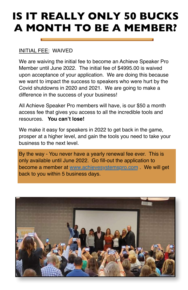# **IS IT REALLY ONLY 50 BUCKS A MONTH TO BE A MEMBER?**

#### INITIAL FEE: WAIVED

We are waiving the initial fee to become an Achieve Speaker Pro Member until June 2022. The initial fee of \$4995.00 is waived upon acceptance of your application. We are doing this because we want to impact the success to speakers who were hurt by the Covid shutdowns in 2020 and 2021. We are going to make a difference in the success of your business!

All Achieve Speaker Pro members will have, is our \$50 a month access fee that gives you access to all the incredible tools and resources. **You can't lose!** 

We make it easy for speakers in 2022 to get back in the game, prosper at a higher level, and gain the tools you need to take your business to the next level.

By the way - You never have a yearly renewal fee ever. This is only available until June 2022. Go fill-out the application to become a member at [www.achievesystemspro.com](http://www.achievesystemspro.com) . We will get back to you within 5 business days.